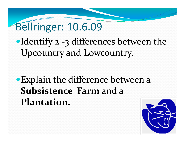# Bellringer: 10.6.09

•Identify 2 -3 differences between the Upcountry and Lowcountry.

## • Explain the difference between a **Subsistence Farm** and <sup>a</sup> **Plantation.**

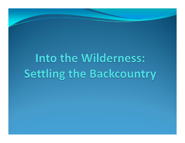# Into the Wilderness: Settling the Backcountry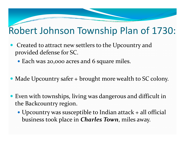#### Robert Johnson Township Plan of 1730:

- Created to attract new settlers to the Upcountry and provided defense for SC.
	- Each was 20,000 acres and 6 square miles.
- Made Upcountry safer + brought more wealth to SC colony.
- Even with townships, living was dangerous and difficult in the Backcountry region.
	- Upcountry was susceptible to Indian attack + all official business took place in *Charles Town*, miles away.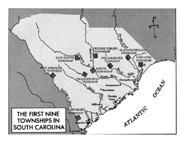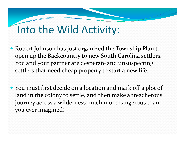# Into the Wild Activity:

- Robert Johnson has just organized the Township Plan to open up the Backcountry to new South Carolina settlers. You and your partner are desperate and unsuspecting settlers that need cheap property to start <sup>a</sup> new life.
- You must first decide on a location and mark off a plot of land in the colony to settle, and then make <sup>a</sup> treacherous journey across <sup>a</sup> wilderness much more dangerous than you ever imagined!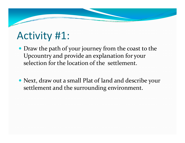## Activity #1:

- Draw the path of your journey from the coast to the Upcountry and provide an explanation for your selection for the location of the settlement.
- Next, draw out a small Plat of land and describe your settlement and the surrounding environment.